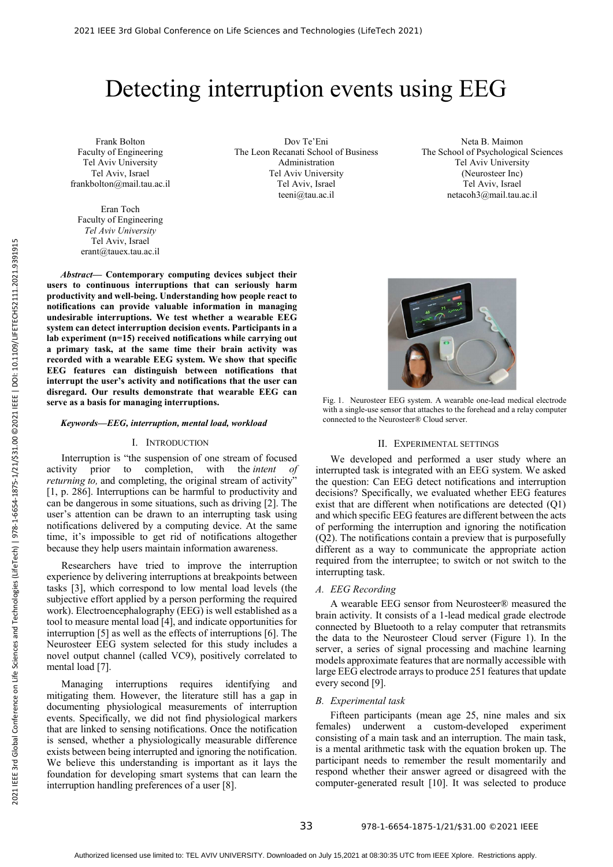# Detecting interruption events using EEG

Frank Bolton Faculty of Engineering Tel Aviv University Tel Aviv, Israel frankbolton@mail.tau.ac.il

Eran Toch Faculty of Engineering *Tel Aviv University*  Tel Aviv, Israel erant@tauex.tau.ac.il

Dov Te'Eni The Leon Recanati School of Business Administration Tel Aviv University Tel Aviv, Israel teeni@tau.ac.il

Neta B. Maimon The School of Psychological Sciences Tel Aviv University (Neurosteer Inc) Tel Aviv, Israel netacoh3@mail.tau.ac.il

*Abstract***— Contemporary computing devices subject their users to continuous interruptions that can seriously harm productivity and well-being. Understanding how people react to notifications can provide valuable information in managing undesirable interruptions. We test whether a wearable EEG system can detect interruption decision events. Participants in a lab experiment (n=15) received notifications while carrying out a primary task, at the same time their brain activity was recorded with a wearable EEG system. We show that specific EEG features can distinguish between notifications that interrupt the user's activity and notifications that the user can disregard. Our results demonstrate that wearable EEG can serve as a basis for managing interruptions.**

# *Keywords—EEG, interruption, mental load, workload*

## I. INTRODUCTION

Interruption is "the suspension of one stream of focused activity prior to completion, with the *intent of returning to,* and completing, the original stream of activity" [1, p. 286]. Interruptions can be harmful to productivity and can be dangerous in some situations, such as driving [2]. The user's attention can be drawn to an interrupting task using notifications delivered by a computing device. At the same time, it's impossible to get rid of notifications altogether because they help users maintain information awareness.

Researchers have tried to improve the interruption experience by delivering interruptions at breakpoints between tasks [3], which correspond to low mental load levels (the subjective effort applied by a person performing the required work). Electroencephalography (EEG) is well established as a tool to measure mental load [4], and indicate opportunities for interruption [5] as well as the effects of interruptions [6]. The Neurosteer EEG system selected for this study includes a novel output channel (called VC9), positively correlated to mental load [7].

Managing interruptions requires identifying and mitigating them. However, the literature still has a gap in documenting physiological measurements of interruption events. Specifically, we did not find physiological markers that are linked to sensing notifications. Once the notification is sensed, whether a physiologically measurable difference exists between being interrupted and ignoring the notification. We believe this understanding is important as it lays the foundation for developing smart systems that can learn the interruption handling preferences of a user [8].



Fig. 1. Neurosteer EEG system. A wearable one-lead medical electrode with a single-use sensor that attaches to the forehead and a relay computer connected to the Neurosteer® Cloud server.

## II. EXPERIMENTAL SETTINGS

We developed and performed a user study where an interrupted task is integrated with an EEG system. We asked the question: Can EEG detect notifications and interruption decisions? Specifically, we evaluated whether EEG features exist that are different when notifications are detected (Q1) and which specific EEG features are different between the acts of performing the interruption and ignoring the notification (Q2). The notifications contain a preview that is purposefully different as a way to communicate the appropriate action required from the interruptee; to switch or not switch to the interrupting task.

#### *A. EEG Recording*

A wearable EEG sensor from Neurosteer® measured the brain activity. It consists of a 1-lead medical grade electrode connected by Bluetooth to a relay computer that retransmits the data to the Neurosteer Cloud server (Figure 1). In the server, a series of signal processing and machine learning models approximate features that are normally accessible with large EEG electrode arrays to produce 251 features that update every second [9].

#### *B. Experimental task*

Fifteen participants (mean age 25, nine males and six females) underwent a custom-developed experiment consisting of a main task and an interruption. The main task, is a mental arithmetic task with the equation broken up. The participant needs to remember the result momentarily and respond whether their answer agreed or disagreed with the computer-generated result [10]. It was selected to produce